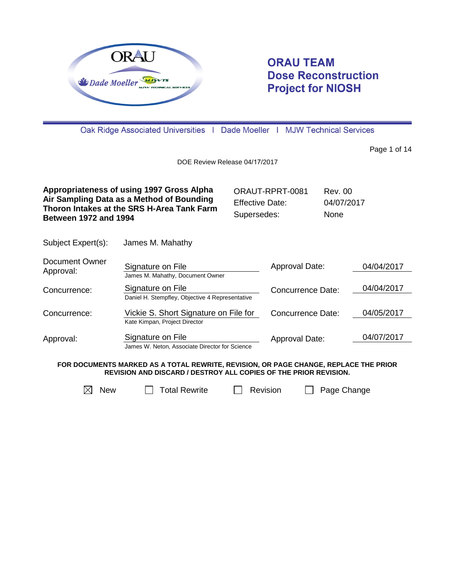

# **ORAU TEAM Dose Reconstruction Project for NIOSH**

Oak Ridge Associated Universities | Dade Moeller | MJW Technical Services

Page 1 of 14

DOE Review Release 04/17/2017

| Appropriateness of using 1997 Gross Alpha                                               | ORAUT-RPRT-0081        | Rev. 00     |
|-----------------------------------------------------------------------------------------|------------------------|-------------|
| Air Sampling Data as a Method of Bounding<br>Thoron Intakes at the SRS H-Area Tank Farm | <b>Effective Date:</b> | 04/07/2017  |
| <b>Between 1972 and 1994</b>                                                            | Supersedes:            | <b>None</b> |

Subject Expert(s): James M. Mahathy

| Document Owner<br>Approval: | Signature on File                               | Approval Date:           | 04/04/2017 |
|-----------------------------|-------------------------------------------------|--------------------------|------------|
|                             | James M. Mahathy, Document Owner                |                          |            |
| Concurrence:                | Signature on File                               | <b>Concurrence Date:</b> | 04/04/2017 |
|                             | Daniel H. Stempfley, Objective 4 Representative |                          |            |
| Concurrence:                | Vickie S. Short Signature on File for           | <b>Concurrence Date:</b> | 04/05/2017 |
|                             | Kate Kimpan, Project Director                   |                          |            |
| Approval:                   | Signature on File                               | Approval Date:           | 04/07/2017 |
|                             | James W. Neton, Associate Director for Science  |                          |            |

**FOR DOCUMENTS MARKED AS A TOTAL REWRITE, REVISION, OR PAGE CHANGE, REPLACE THE PRIOR REVISION AND DISCARD / DESTROY ALL COPIES OF THE PRIOR REVISION.**



 $\boxtimes$  New  $\Box$  Total Rewrite  $\Box$  Revision  $\Box$  Page Change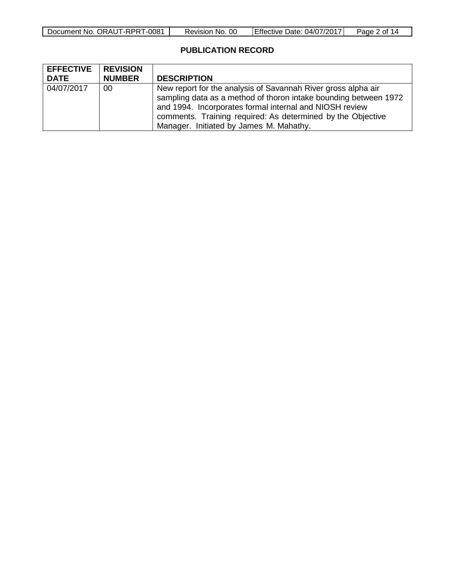| $1 - 0084$<br>Document No. ORAUT-RPRT | 00<br>Revision No. | 04/07/2017<br>Date:<br>TEffective I | Page<br>∩t |
|---------------------------------------|--------------------|-------------------------------------|------------|

## **PUBLICATION RECORD**

| <b>EFFECTIVE</b><br><b>DATE</b> | <b>REVISION</b><br><b>NUMBER</b> | <b>DESCRIPTION</b>                                                                                                                                                                                                                                                                                     |
|---------------------------------|----------------------------------|--------------------------------------------------------------------------------------------------------------------------------------------------------------------------------------------------------------------------------------------------------------------------------------------------------|
| 04/07/2017                      | 00                               | New report for the analysis of Savannah River gross alpha air<br>sampling data as a method of thoron intake bounding between 1972<br>and 1994. Incorporates formal internal and NIOSH review<br>comments. Training required: As determined by the Objective<br>Manager. Initiated by James M. Mahathy. |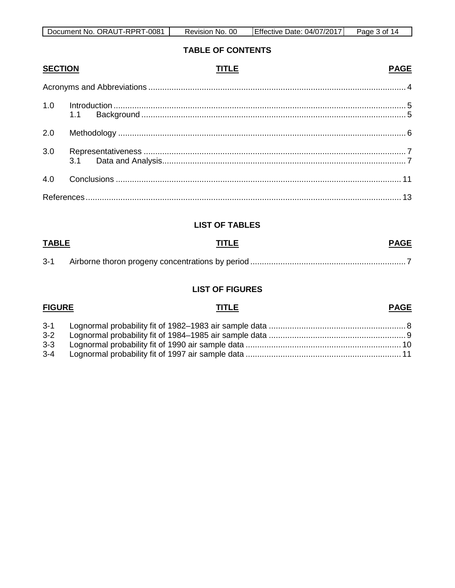| Document No. ORAUT-RPRT-<br>1-0081 ، | <sub>00</sub><br>No.<br>Revision | Effective<br>Date: 04/07/2017 | of 14<br>Page J |
|--------------------------------------|----------------------------------|-------------------------------|-----------------|

### **TABLE OF CONTENTS**

**PAGE** 

**PAGE** 

#### **SECTION TITLE**

| 2.0 |  |
|-----|--|
| 3.0 |  |
|     |  |
|     |  |

### **LIST OF TABLES**

| <b>TABLE</b><br>________ | <b>PAGE</b><br><b>TITLE</b><br><u>and the company of the company of the company of the company of the company of the company of the company of the company of the company of the company of the company of the company of the company of the company of the com</u> |  |
|--------------------------|---------------------------------------------------------------------------------------------------------------------------------------------------------------------------------------------------------------------------------------------------------------------|--|
| $3 - 1$                  |                                                                                                                                                                                                                                                                     |  |

#### **LIST OF FIGURES**

**TITLE** 

**FIGURE** 

#### $3 - 1$  $3 - 2$  $3 - 3$  $3 - 4$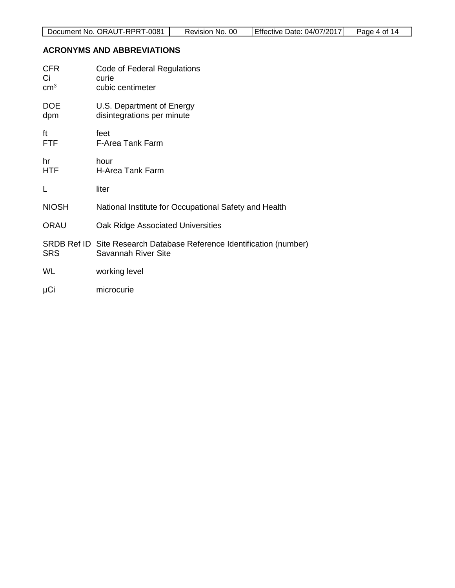## <span id="page-3-0"></span>**ACRONYMS AND ABBREVIATIONS**

| <b>CFR</b><br>Сi<br>$\text{cm}^3$ | Code of Federal Regulations<br>curie<br>cubic centimeter                                    |
|-----------------------------------|---------------------------------------------------------------------------------------------|
| <b>DOE</b><br>dpm                 | U.S. Department of Energy<br>disintegrations per minute                                     |
| ft<br><b>FTF</b>                  | feet<br><b>F-Area Tank Farm</b>                                                             |
| hr<br><b>HTF</b>                  | hour<br><b>H-Area Tank Farm</b>                                                             |
| L                                 | liter                                                                                       |
| <b>NIOSH</b>                      | National Institute for Occupational Safety and Health                                       |
| <b>ORAU</b>                       | Oak Ridge Associated Universities                                                           |
| <b>SRS</b>                        | SRDB Ref ID Site Research Database Reference Identification (number)<br>Savannah River Site |
| WL                                | working level                                                                               |
| μCi                               | microcurie                                                                                  |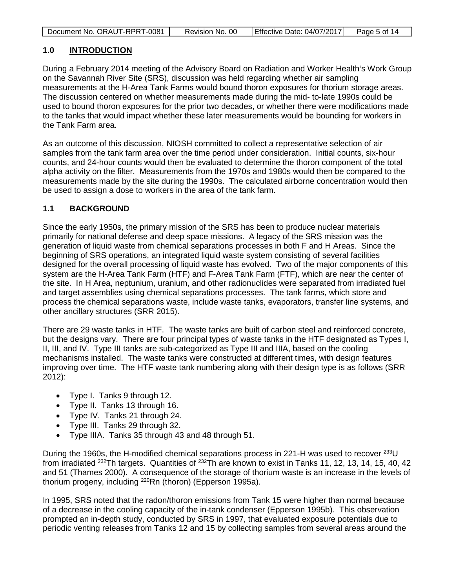| Document No. ORAUT-RPRT-0081 | Revision No. 00 | Effective Date: 04/07/2017 | Page 5 of 14 |
|------------------------------|-----------------|----------------------------|--------------|

#### <span id="page-4-0"></span>**1.0 INTRODUCTION**

During a February 2014 meeting of the Advisory Board on Radiation and Worker Health's Work Group on the Savannah River Site (SRS), discussion was held regarding whether air sampling measurements at the H-Area Tank Farms would bound thoron exposures for thorium storage areas. The discussion centered on whether measurements made during the mid- to-late 1990s could be used to bound thoron exposures for the prior two decades, or whether there were modifications made to the tanks that would impact whether these later measurements would be bounding for workers in the Tank Farm area.

As an outcome of this discussion, NIOSH committed to collect a representative selection of air samples from the tank farm area over the time period under consideration. Initial counts, six-hour counts, and 24-hour counts would then be evaluated to determine the thoron component of the total alpha activity on the filter. Measurements from the 1970s and 1980s would then be compared to the measurements made by the site during the 1990s. The calculated airborne concentration would then be used to assign a dose to workers in the area of the tank farm.

### <span id="page-4-1"></span>**1.1 BACKGROUND**

Since the early 1950s, the primary mission of the SRS has been to produce nuclear materials primarily for national defense and deep space missions. A legacy of the SRS mission was the generation of liquid waste from chemical separations processes in both F and H Areas. Since the beginning of SRS operations, an integrated liquid waste system consisting of several facilities designed for the overall processing of liquid waste has evolved. Two of the major components of this system are the H-Area Tank Farm (HTF) and F-Area Tank Farm (FTF), which are near the center of the site. In H Area, neptunium, uranium, and other radionuclides were separated from irradiated fuel and target assemblies using chemical separations processes. The tank farms, which store and process the chemical separations waste, include waste tanks, evaporators, transfer line systems, and other ancillary structures (SRR 2015).

There are 29 waste tanks in HTF. The waste tanks are built of carbon steel and reinforced concrete, but the designs vary. There are four principal types of waste tanks in the HTF designated as Types I, II, III, and IV. Type III tanks are sub-categorized as Type III and IIIA, based on the cooling mechanisms installed. The waste tanks were constructed at different times, with design features improving over time. The HTF waste tank numbering along with their design type is as follows (SRR 2012):

- Type I. Tanks 9 through 12.
- Type II. Tanks 13 through 16.
- Type IV. Tanks 21 through 24.
- Type III. Tanks 29 through 32.
- Type IIIA. Tanks 35 through 43 and 48 through 51.

During the 1960s, the H-modified chemical separations process in 221-H was used to recover <sup>233</sup>U from irradiated  $^{232}$ Th targets. Quantities of  $^{232}$ Th are known to exist in Tanks 11, 12, 13, 14, 15, 40, 42 and 51 (Thames 2000). A consequence of the storage of thorium waste is an increase in the levels of thorium progeny, including 220Rn (thoron) (Epperson 1995a).

In 1995, SRS noted that the radon/thoron emissions from Tank 15 were higher than normal because of a decrease in the cooling capacity of the in-tank condenser (Epperson 1995b). This observation prompted an in-depth study, conducted by SRS in 1997, that evaluated exposure potentials due to periodic venting releases from Tanks 12 and 15 by collecting samples from several areas around the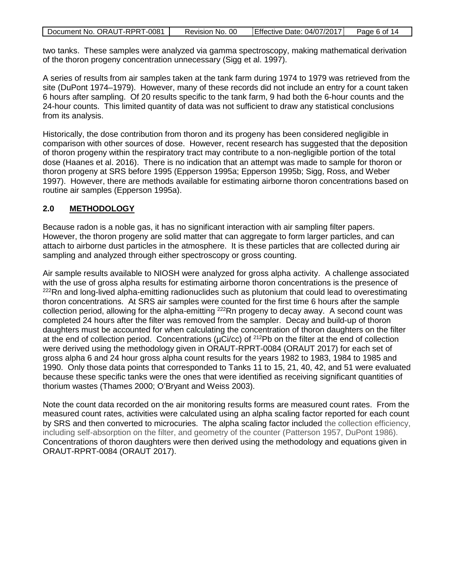| Document No. ORAUT-RPRT-0081 | Revision No. 00 | Effective Date: 04/07/2017 | Page 6 of 14 |
|------------------------------|-----------------|----------------------------|--------------|
|                              |                 |                            |              |

two tanks. These samples were analyzed via gamma spectroscopy, making mathematical derivation of the thoron progeny concentration unnecessary (Sigg et al. 1997).

A series of results from air samples taken at the tank farm during 1974 to 1979 was retrieved from the site (DuPont 1974–1979). However, many of these records did not include an entry for a count taken 6 hours after sampling. Of 20 results specific to the tank farm, 9 had both the 6-hour counts and the 24-hour counts. This limited quantity of data was not sufficient to draw any statistical conclusions from its analysis.

Historically, the dose contribution from thoron and its progeny has been considered negligible in comparison with other sources of dose. However, recent research has suggested that the deposition of thoron progeny within the respiratory tract may contribute to a non-negligible portion of the total dose (Haanes et al. 2016). There is no indication that an attempt was made to sample for thoron or thoron progeny at SRS before 1995 (Epperson 1995a; Epperson 1995b; Sigg, Ross, and Weber 1997). However, there are methods available for estimating airborne thoron concentrations based on routine air samples (Epperson 1995a).

#### <span id="page-5-0"></span>**2.0 METHODOLOGY**

Because radon is a noble gas, it has no significant interaction with air sampling filter papers. However, the thoron progeny are solid matter that can aggregate to form larger particles, and can attach to airborne dust particles in the atmosphere. It is these particles that are collected during air sampling and analyzed through either spectroscopy or gross counting.

Air sample results available to NIOSH were analyzed for gross alpha activity. A challenge associated with the use of gross alpha results for estimating airborne thoron concentrations is the presence of <sup>222</sup>Rn and long-lived alpha-emitting radionuclides such as plutonium that could lead to overestimating thoron concentrations. At SRS air samples were counted for the first time 6 hours after the sample collection period, allowing for the alpha-emitting <sup>222</sup>Rn progeny to decay away. A second count was completed 24 hours after the filter was removed from the sampler. Decay and build-up of thoron daughters must be accounted for when calculating the concentration of thoron daughters on the filter at the end of collection period. Concentrations ( $\mu$ Ci/cc) of <sup>212</sup>Pb on the filter at the end of collection were derived using the methodology given in ORAUT-RPRT-0084 (ORAUT 2017) for each set of gross alpha 6 and 24 hour gross alpha count results for the years 1982 to 1983, 1984 to 1985 and 1990. Only those data points that corresponded to Tanks 11 to 15, 21, 40, 42, and 51 were evaluated because these specific tanks were the ones that were identified as receiving significant quantities of thorium wastes (Thames 2000; O'Bryant and Weiss 2003).

Note the count data recorded on the air monitoring results forms are measured count rates. From the measured count rates, activities were calculated using an alpha scaling factor reported for each count by SRS and then converted to microcuries. The alpha scaling factor included the collection efficiency, including self-absorption on the filter, and geometry of the counter (Patterson 1957, DuPont 1986). Concentrations of thoron daughters were then derived using the methodology and equations given in ORAUT-RPRT-0084 (ORAUT 2017).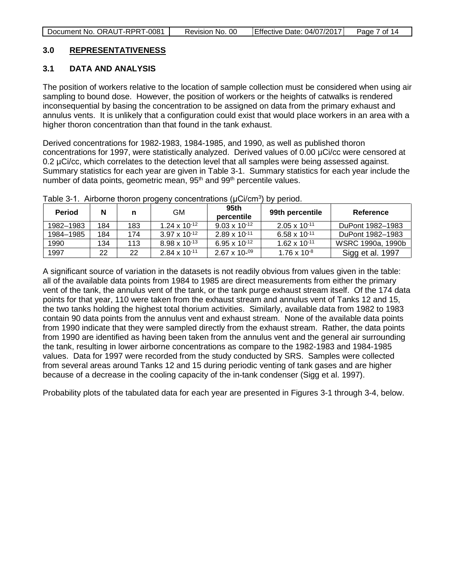### <span id="page-6-0"></span>**3.0 REPRESENTATIVENESS**

#### <span id="page-6-1"></span>**3.1 DATA AND ANALYSIS**

The position of workers relative to the location of sample collection must be considered when using air sampling to bound dose. However, the position of workers or the heights of catwalks is rendered inconsequential by basing the concentration to be assigned on data from the primary exhaust and annulus vents. It is unlikely that a configuration could exist that would place workers in an area with a higher thoron concentration than that found in the tank exhaust.

Derived concentrations for 1982-1983, 1984-1985, and 1990, as well as published thoron concentrations for 1997, were statistically analyzed. Derived values of 0.00 µCi/cc were censored at 0.2 µCi/cc, which correlates to the detection level that all samples were being assessed against. Summary statistics for each year are given in Table 3-1. Summary statistics for each year include the number of data points, geometric mean, 95<sup>th</sup> and 99<sup>th</sup> percentile values.

| <b>Period</b> | N   | n   | GM                     | 95th<br>percentile     | 99th percentile        | Reference         |
|---------------|-----|-----|------------------------|------------------------|------------------------|-------------------|
| 1982-1983     | 184 | 183 | $1.24 \times 10^{-12}$ | $9.03 \times 10^{-12}$ | $2.05 \times 10^{-11}$ | DuPont 1982-1983  |
| 1984-1985     | 184 | 174 | $3.97 \times 10^{-12}$ | $2.89 \times 10^{-11}$ | $6.58 \times 10^{-11}$ | DuPont 1982-1983  |
| 1990          | 134 | 113 | $8.98 \times 10^{-13}$ | $6.95 \times 10^{-12}$ | $1.62 \times 10^{-11}$ | WSRC 1990a, 1990b |
| 1997          | 22  | 22  | $2.84 \times 10^{-11}$ | $2.67 \times 10^{-09}$ | $1.76 \times 10^{-8}$  | Sigg et al. 1997  |

<span id="page-6-2"></span>Table 3-1. Airborne thoron progeny concentrations (µCi/cm<sup>3</sup>) by period.

A significant source of variation in the datasets is not readily obvious from values given in the table: all of the available data points from 1984 to 1985 are direct measurements from either the primary vent of the tank, the annulus vent of the tank, or the tank purge exhaust stream itself. Of the 174 data points for that year, 110 were taken from the exhaust stream and annulus vent of Tanks 12 and 15, the two tanks holding the highest total thorium activities. Similarly, available data from 1982 to 1983 contain 90 data points from the annulus vent and exhaust stream. None of the available data points from 1990 indicate that they were sampled directly from the exhaust stream. Rather, the data points from 1990 are identified as having been taken from the annulus vent and the general air surrounding the tank, resulting in lower airborne concentrations as compare to the 1982-1983 and 1984-1985 values. Data for 1997 were recorded from the study conducted by SRS. Samples were collected from several areas around Tanks 12 and 15 during periodic venting of tank gases and are higher because of a decrease in the cooling capacity of the in-tank condenser (Sigg et al. 1997).

Probability plots of the tabulated data for each year are presented in Figures 3-1 through 3-4, below.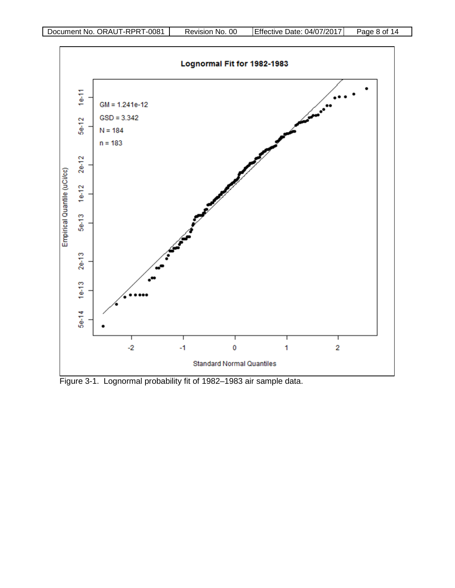

<span id="page-7-0"></span>Figure 3-1. Lognormal probability fit of 1982–1983 air sample data.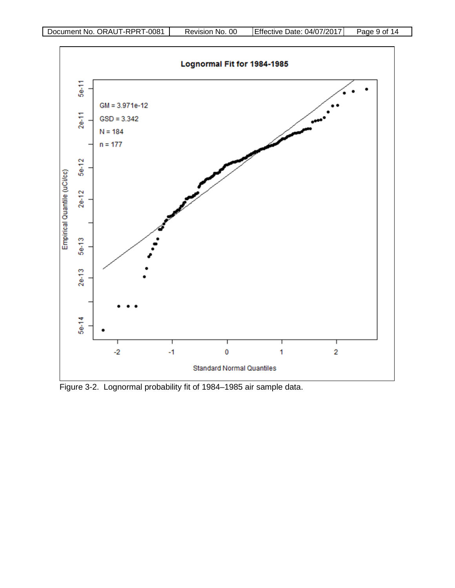

<span id="page-8-0"></span>Figure 3-2. Lognormal probability fit of 1984–1985 air sample data.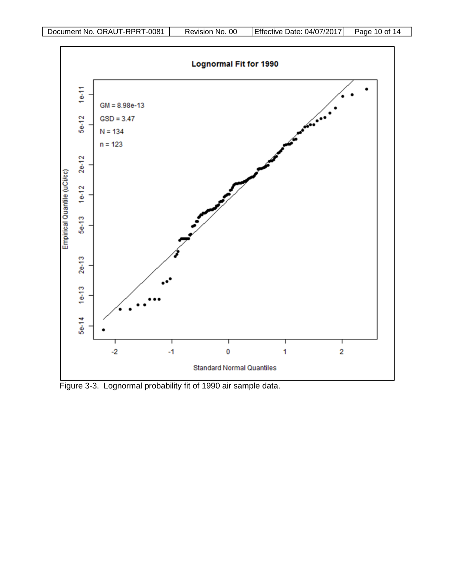

<span id="page-9-0"></span>Figure 3-3. Lognormal probability fit of 1990 air sample data.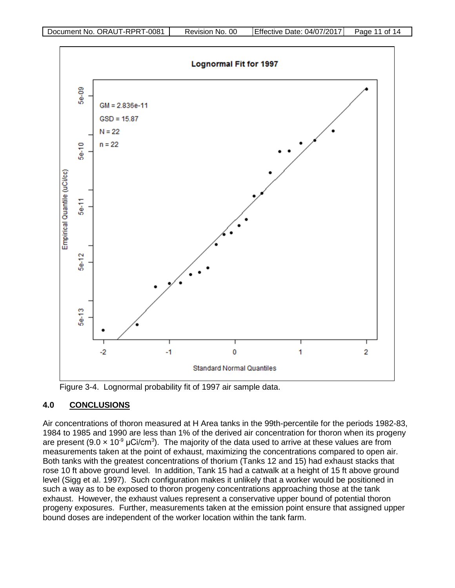

<span id="page-10-1"></span>Figure 3-4. Lognormal probability fit of 1997 air sample data.

## <span id="page-10-0"></span>**4.0 CONCLUSIONS**

Air concentrations of thoron measured at H Area tanks in the 99th-percentile for the periods 1982-83, 1984 to 1985 and 1990 are less than 1% of the derived air concentration for thoron when its progeny are present (9.0  $\times$  10<sup>-9</sup> µCi/cm<sup>3</sup>). The majority of the data used to arrive at these values are from measurements taken at the point of exhaust, maximizing the concentrations compared to open air. Both tanks with the greatest concentrations of thorium (Tanks 12 and 15) had exhaust stacks that rose 10 ft above ground level. In addition, Tank 15 had a catwalk at a height of 15 ft above ground level (Sigg et al. 1997). Such configuration makes it unlikely that a worker would be positioned in such a way as to be exposed to thoron progeny concentrations approaching those at the tank exhaust. However, the exhaust values represent a conservative upper bound of potential thoron progeny exposures. Further, measurements taken at the emission point ensure that assigned upper bound doses are independent of the worker location within the tank farm.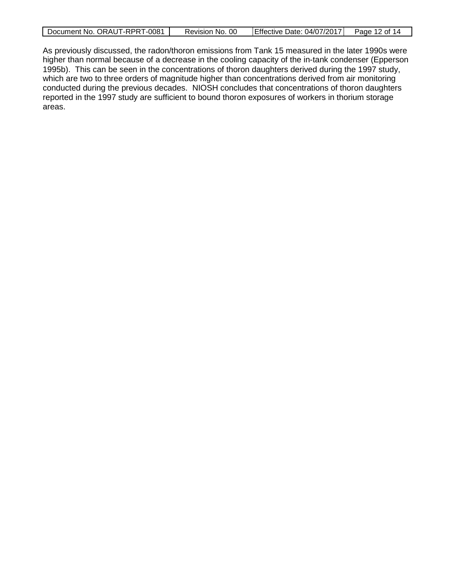|  | Document No. ORAUT-RPRT-0081 | Revision No. 00 | Effective Date: 04/07/2017 | Page 12 of 14 |
|--|------------------------------|-----------------|----------------------------|---------------|
|--|------------------------------|-----------------|----------------------------|---------------|

As previously discussed, the radon/thoron emissions from Tank 15 measured in the later 1990s were higher than normal because of a decrease in the cooling capacity of the in-tank condenser (Epperson 1995b). This can be seen in the concentrations of thoron daughters derived during the 1997 study, which are two to three orders of magnitude higher than concentrations derived from air monitoring conducted during the previous decades. NIOSH concludes that concentrations of thoron daughters reported in the 1997 study are sufficient to bound thoron exposures of workers in thorium storage areas.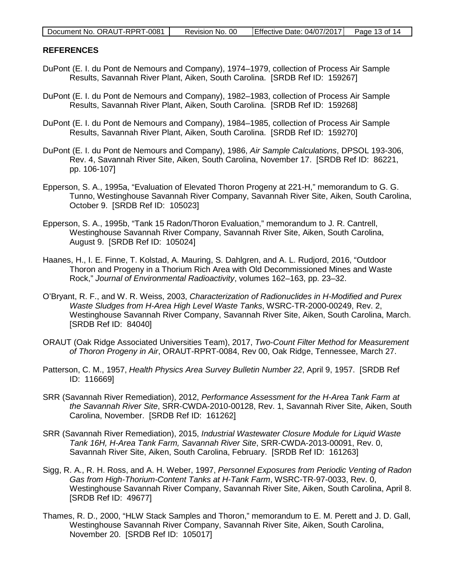#### <span id="page-12-0"></span>**REFERENCES**

- DuPont (E. I. du Pont de Nemours and Company), 1974–1979, collection of Process Air Sample Results, Savannah River Plant, Aiken, South Carolina. [SRDB Ref ID: 159267]
- DuPont (E. I. du Pont de Nemours and Company), 1982–1983, collection of Process Air Sample Results, Savannah River Plant, Aiken, South Carolina. [SRDB Ref ID: 159268]
- DuPont (E. I. du Pont de Nemours and Company), 1984–1985, collection of Process Air Sample Results, Savannah River Plant, Aiken, South Carolina. [SRDB Ref ID: 159270]
- DuPont (E. I. du Pont de Nemours and Company), 1986, *Air Sample Calculations*, DPSOL 193-306, Rev. 4, Savannah River Site, Aiken, South Carolina, November 17. [SRDB Ref ID: 86221, pp. 106-107]
- Epperson, S. A., 1995a, "Evaluation of Elevated Thoron Progeny at 221-H," memorandum to G. G. Tunno, Westinghouse Savannah River Company, Savannah River Site, Aiken, South Carolina, October 9. [SRDB Ref ID: 105023]
- Epperson, S. A., 1995b, "Tank 15 Radon/Thoron Evaluation," memorandum to J. R. Cantrell, Westinghouse Savannah River Company, Savannah River Site, Aiken, South Carolina, August 9. [SRDB Ref ID: 105024]
- Haanes, H., I. E. Finne, T. Kolstad, A. Mauring, S. Dahlgren, and A. L. Rudjord, 2016, "Outdoor Thoron and Progeny in a Thorium Rich Area with Old Decommissioned Mines and Waste Rock," *Journal of Environmental Radioactivity*, volumes 162–163, pp. 23–32.
- O'Bryant, R. F., and W. R. Weiss, 2003, *Characterization of Radionuclides in H-Modified and Purex Waste Sludges from H-Area High Level Waste Tanks*, WSRC-TR-2000-00249, Rev. 2, Westinghouse Savannah River Company, Savannah River Site, Aiken, South Carolina, March. [SRDB Ref ID: 84040]
- ORAUT (Oak Ridge Associated Universities Team), 2017, *Two-Count Filter Method for Measurement of Thoron Progeny in Air*, ORAUT-RPRT-0084, Rev 00, Oak Ridge, Tennessee, March 27.
- Patterson, C. M., 1957, *Health Physics Area Survey Bulletin Number 22*, April 9, 1957. [SRDB Ref ID: 116669]
- SRR (Savannah River Remediation), 2012, *Performance Assessment for the H-Area Tank Farm at the Savannah River Site*, SRR-CWDA-2010-00128, Rev. 1, Savannah River Site, Aiken, South Carolina, November. [SRDB Ref ID: 161262]
- SRR (Savannah River Remediation), 2015, *Industrial Wastewater Closure Module for Liquid Waste Tank 16H, H-Area Tank Farm, Savannah River Site*, SRR-CWDA-2013-00091, Rev. 0, Savannah River Site, Aiken, South Carolina, February. [SRDB Ref ID: 161263]
- Sigg, R. A., R. H. Ross, and A. H. Weber, 1997, *Personnel Exposures from Periodic Venting of Radon Gas from High-Thorium-Content Tanks at H-Tank Farm*, WSRC-TR-97-0033, Rev. 0, Westinghouse Savannah River Company, Savannah River Site, Aiken, South Carolina, April 8. [SRDB Ref ID: 49677]
- Thames, R. D., 2000, "HLW Stack Samples and Thoron," memorandum to E. M. Perett and J. D. Gall, Westinghouse Savannah River Company, Savannah River Site, Aiken, South Carolina, November 20. [SRDB Ref ID: 105017]